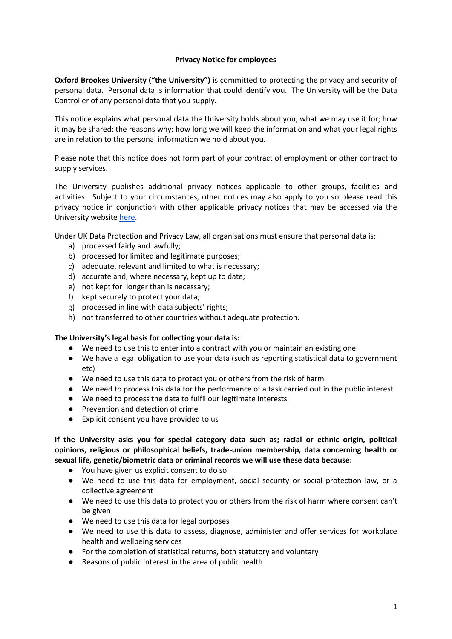## **Privacy Notice for employees**

**Oxford Brookes University ("the University")** is committed to protecting the privacy and security of personal data. Personal data is information that could identify you. The University will be the Data Controller of any personal data that you supply.

This notice explains what personal data the University holds about you; what we may use it for; how it may be shared; the reasons why; how long we will keep the information and what your legal rights are in relation to the personal information we hold about you.

Please note that this notice does not form part of your contract of employment or other contract to supply services.

The University publishes additional privacy notices applicable to other groups, facilities and activities. Subject to your circumstances, other notices may also apply to you so please read this privacy notice in conjunction with other applicable privacy notices that may be accessed via the University website [here.](https://www.brookes.ac.uk/about-brookes/structure-and-governance/policies-and-financial-statements/privacy-policy/)

Under UK Data Protection and Privacy Law, all organisations must ensure that personal data is:

- a) processed fairly and lawfully;
- b) processed for limited and legitimate purposes;
- c) adequate, relevant and limited to what is necessary;
- d) accurate and, where necessary, kept up to date;
- e) not kept for longer than is necessary;
- f) kept securely to protect your data;
- g) processed in line with data subjects' rights;
- h) not transferred to other countries without adequate protection.

### **The University's legal basis for collecting your data is:**

- We need to use this to enter into a contract with you or maintain an existing one
- We have a legal obligation to use your data (such as reporting statistical data to government etc)
- We need to use this data to protect you or others from the risk of harm
- We need to process this data for the performance of a task carried out in the public interest
- We need to process the data to fulfil our legitimate interests
- Prevention and detection of crime
- Explicit consent you have provided to us

**If the University asks you for special category data such as; racial or ethnic origin, political opinions, religious or philosophical beliefs, trade-union membership, data concerning health or sexual life, genetic/biometric data or criminal records we will use these data because:**

- You have given us explicit consent to do so
- We need to use this data for employment, social security or social protection law, or a collective agreement
- We need to use this data to protect you or others from the risk of harm where consent can't be given
- We need to use this data for legal purposes
- We need to use this data to assess, diagnose, administer and offer services for workplace health and wellbeing services
- For the completion of statistical returns, both statutory and voluntary
- Reasons of public interest in the area of public health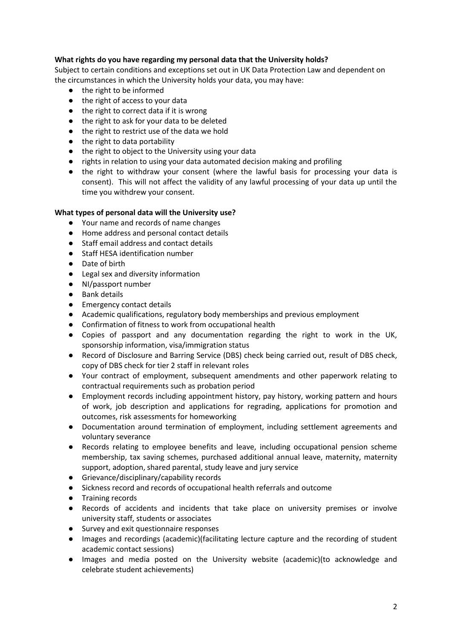# **What rights do you have regarding my personal data that the University holds?**

Subject to certain conditions and exceptions set out in UK Data Protection Law and dependent on the circumstances in which the University holds your data, you may have:

- the right to be informed
- the right of access to your data
- the right to correct data if it is wrong
- the right to ask for your data to be deleted
- the right to restrict use of the data we hold
- the right to data portability
- the right to object to the University using your data
- rights in relation to using your data automated decision making and profiling
- the right to withdraw your consent (where the lawful basis for processing your data is consent). This will not affect the validity of any lawful processing of your data up until the time you withdrew your consent.

## **What types of personal data will the University use?**

- Your name and records of name changes
- Home address and personal contact details
- Staff email address and contact details
- Staff HESA identification number
- Date of birth
- Legal sex and diversity information
- NI/passport number
- Bank details
- Emergency contact details
- Academic qualifications, regulatory body memberships and previous employment
- Confirmation of fitness to work from occupational health
- Copies of passport and any documentation regarding the right to work in the UK, sponsorship information, visa/immigration status
- Record of Disclosure and Barring Service (DBS) check being carried out, result of DBS check, copy of DBS check for tier 2 staff in relevant roles
- Your contract of employment, subsequent amendments and other paperwork relating to contractual requirements such as probation period
- Employment records including appointment history, pay history, working pattern and hours of work, job description and applications for regrading, applications for promotion and outcomes, risk assessments for homeworking
- Documentation around termination of employment, including settlement agreements and voluntary severance
- Records relating to employee benefits and leave, including occupational pension scheme membership, tax saving schemes, purchased additional annual leave, maternity, maternity support, adoption, shared parental, study leave and jury service
- Grievance/disciplinary/capability records
- Sickness record and records of occupational health referrals and outcome
- Training records
- Records of accidents and incidents that take place on university premises or involve university staff, students or associates
- Survey and exit questionnaire responses
- Images and recordings (academic)(facilitating lecture capture and the recording of student academic contact sessions)
- Images and media posted on the University website (academic)(to acknowledge and celebrate student achievements)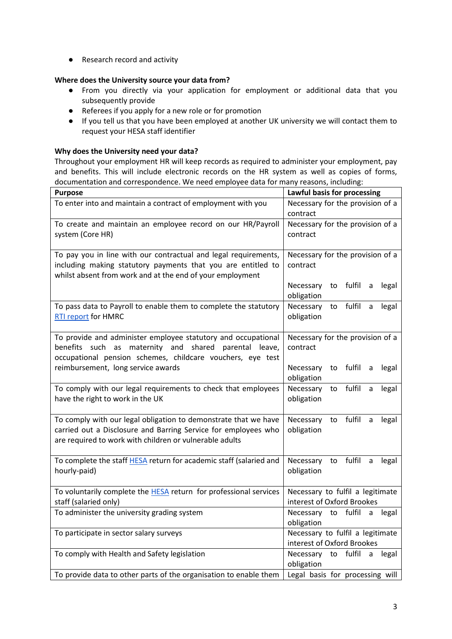● Research record and activity

## **Where does the University source your data from?**

- From you directly via your application for employment or additional data that you subsequently provide
- Referees if you apply for a new role or for promotion
- If you tell us that you have been employed at another UK university we will contact them to request your HESA staff identifier

## **Why does the University need your data?**

Throughout your employment HR will keep records as required to administer your employment, pay and benefits. This will include electronic records on the HR system as well as copies of forms, documentation and correspondence. We need employee data for many reasons, including:

| <b>Purpose</b>                                                                                                                                                                                      | Lawful basis for processing                                    |
|-----------------------------------------------------------------------------------------------------------------------------------------------------------------------------------------------------|----------------------------------------------------------------|
| To enter into and maintain a contract of employment with you                                                                                                                                        | Necessary for the provision of a<br>contract                   |
| To create and maintain an employee record on our HR/Payroll<br>system (Core HR)                                                                                                                     | Necessary for the provision of a<br>contract                   |
| To pay you in line with our contractual and legal requirements,<br>including making statutory payments that you are entitled to<br>whilst absent from work and at the end of your employment        | Necessary for the provision of a<br>contract                   |
|                                                                                                                                                                                                     | fulfil<br>Necessary<br>to<br>a<br>legal<br>obligation          |
| To pass data to Payroll to enable them to complete the statutory<br><b>RTI report for HMRC</b>                                                                                                      | fulfil<br>Necessary<br>to<br>legal<br>a<br>obligation          |
| To provide and administer employee statutory and occupational<br>benefits<br>such<br>maternity and<br>shared<br>as<br>parental leave,<br>occupational pension schemes, childcare vouchers, eye test | Necessary for the provision of a<br>contract                   |
| reimbursement, long service awards                                                                                                                                                                  | fulfil<br>Necessary<br>legal<br>to<br>a<br>obligation          |
| To comply with our legal requirements to check that employees<br>have the right to work in the UK                                                                                                   | fulfil<br>Necessary<br>to<br>a<br>legal<br>obligation          |
| To comply with our legal obligation to demonstrate that we have<br>carried out a Disclosure and Barring Service for employees who<br>are required to work with children or vulnerable adults        | fulfil<br>Necessary<br>to<br>a<br>legal<br>obligation          |
| To complete the staff HESA return for academic staff (salaried and<br>hourly-paid)                                                                                                                  | fulfil<br>Necessary<br>to<br>legal<br>a<br>obligation          |
| To voluntarily complete the <b>HESA</b> return for professional services<br>staff (salaried only)                                                                                                   | Necessary to fulfil a legitimate<br>interest of Oxford Brookes |
| To administer the university grading system                                                                                                                                                         | Necessary to fulfil<br>$\mathsf{a}$<br>legal<br>obligation     |
| To participate in sector salary surveys                                                                                                                                                             | Necessary to fulfil a legitimate<br>interest of Oxford Brookes |
| To comply with Health and Safety legislation                                                                                                                                                        | fulfil<br>Necessary<br>to<br>legal<br>a<br>obligation          |
| To provide data to other parts of the organisation to enable them                                                                                                                                   | Legal basis for processing will                                |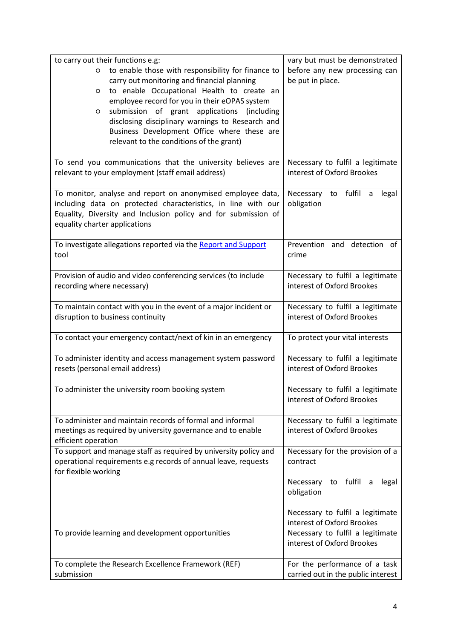| to carry out their functions e.g:                                                               | vary but must be demonstrated                                  |
|-------------------------------------------------------------------------------------------------|----------------------------------------------------------------|
| to enable those with responsibility for finance to<br>$\circ$                                   | before any new processing can                                  |
| carry out monitoring and financial planning                                                     | be put in place.                                               |
| to enable Occupational Health to create an<br>O                                                 |                                                                |
| employee record for you in their eOPAS system                                                   |                                                                |
| submission of grant applications (including<br>O                                                |                                                                |
| disclosing disciplinary warnings to Research and                                                |                                                                |
| Business Development Office where these are                                                     |                                                                |
| relevant to the conditions of the grant)                                                        |                                                                |
|                                                                                                 |                                                                |
| To send you communications that the university believes are                                     | Necessary to fulfil a legitimate<br>interest of Oxford Brookes |
| relevant to your employment (staff email address)                                               |                                                                |
| To monitor, analyse and report on anonymised employee data,                                     | to fulfil<br>Necessary<br>a<br>legal                           |
| including data on protected characteristics, in line with our                                   | obligation                                                     |
| Equality, Diversity and Inclusion policy and for submission of                                  |                                                                |
| equality charter applications                                                                   |                                                                |
|                                                                                                 |                                                                |
| To investigate allegations reported via the Report and Support                                  | Prevention and detection of                                    |
| tool                                                                                            | crime                                                          |
|                                                                                                 |                                                                |
| Provision of audio and video conferencing services (to include                                  | Necessary to fulfil a legitimate                               |
| recording where necessary)                                                                      | interest of Oxford Brookes                                     |
|                                                                                                 |                                                                |
| To maintain contact with you in the event of a major incident or                                | Necessary to fulfil a legitimate                               |
| disruption to business continuity                                                               | interest of Oxford Brookes                                     |
|                                                                                                 |                                                                |
| To contact your emergency contact/next of kin in an emergency                                   | To protect your vital interests                                |
|                                                                                                 | Necessary to fulfil a legitimate                               |
| To administer identity and access management system password<br>resets (personal email address) | interest of Oxford Brookes                                     |
|                                                                                                 |                                                                |
| To administer the university room booking system                                                | Necessary to fulfil a legitimate                               |
|                                                                                                 | interest of Oxford Brookes                                     |
|                                                                                                 |                                                                |
| To administer and maintain records of formal and informal                                       | Necessary to fulfil a legitimate                               |
| meetings as required by university governance and to enable                                     | interest of Oxford Brookes                                     |
| efficient operation                                                                             |                                                                |
| To support and manage staff as required by university policy and                                | Necessary for the provision of a                               |
| operational requirements e.g records of annual leave, requests                                  | contract                                                       |
| for flexible working                                                                            |                                                                |
|                                                                                                 | to fulfil<br>Necessary<br>legal<br>- a                         |
|                                                                                                 | obligation                                                     |
|                                                                                                 |                                                                |
|                                                                                                 | Necessary to fulfil a legitimate<br>interest of Oxford Brookes |
|                                                                                                 | Necessary to fulfil a legitimate                               |
| To provide learning and development opportunities                                               | interest of Oxford Brookes                                     |
|                                                                                                 |                                                                |
| To complete the Research Excellence Framework (REF)                                             | For the performance of a task                                  |
| submission                                                                                      | carried out in the public interest                             |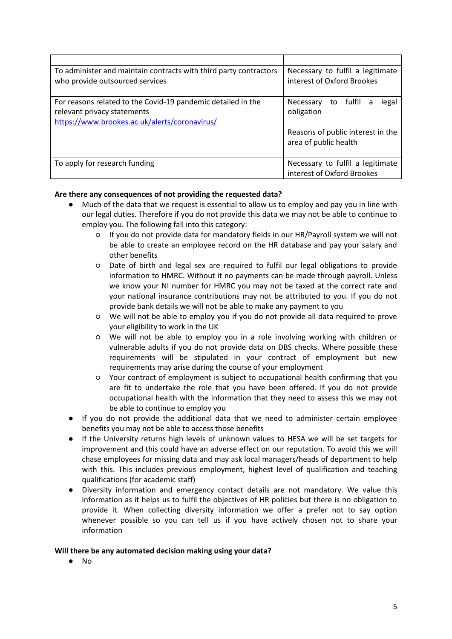| Necessary to fulfil a legitimate  |
|-----------------------------------|
| interest of Oxford Brookes        |
|                                   |
| Necessary to fulfil a<br>legal    |
| obligation                        |
|                                   |
| Reasons of public interest in the |
| area of public health             |
|                                   |
| Necessary to fulfil a legitimate  |
| interest of Oxford Brookes        |
|                                   |

## **Are there any consequences of not providing the requested data?**

- Much of the data that we request is essential to allow us to employ and pay you in line with our legal duties. Therefore if you do not provide this data we may not be able to continue to employ you. The following fall into this category:
	- If you do not provide data for mandatory fields in our HR/Payroll system we will not be able to create an employee record on the HR database and pay your salary and other benefits
	- Date of birth and legal sex are required to fulfil our legal obligations to provide information to HMRC. Without it no payments can be made through payroll. Unless we know your NI number for HMRC you may not be taxed at the correct rate and your national insurance contributions may not be attributed to you. If you do not provide bank details we will not be able to make any payment to you
	- We will not be able to employ you if you do not provide all data required to prove your eligibility to work in the UK
	- We will not be able to employ you in a role involving working with children or vulnerable adults if you do not provide data on DBS checks. Where possible these requirements will be stipulated in your contract of employment but new requirements may arise during the course of your employment
	- Your contract of employment is subject to occupational health confirming that you are fit to undertake the role that you have been offered. If you do not provide occupational health with the information that they need to assess this we may not be able to continue to employ you
- If you do not provide the additional data that we need to administer certain employee benefits you may not be able to access those benefits
- If the University returns high levels of unknown values to HESA we will be set targets for improvement and this could have an adverse effect on our reputation. To avoid this we will chase employees for missing data and may ask local managers/heads of department to help with this. This includes previous employment, highest level of qualification and teaching qualifications (for academic staff)
- Diversity information and emergency contact details are not mandatory. We value this information as it helps us to fulfil the objectives of HR policies but there is no obligation to provide it. When collecting diversity information we offer a prefer not to say option whenever possible so you can tell us if you have actively chosen not to share your information

### **Will there be any automated decision making using your data?**

● No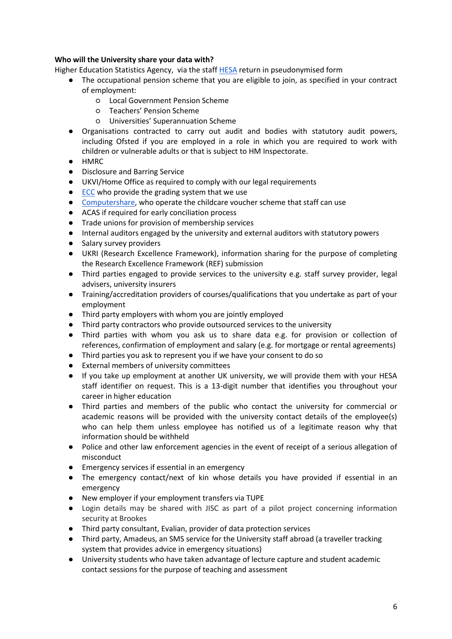## **Who will the University share your data with?**

Higher Education Statistics Agency, via the staf[f HESA](https://www.hesa.ac.uk/) return in pseudonymised form

- The occupational pension scheme that you are eligible to join, as specified in your contract of employment:
	- Local Government Pension Scheme
	- Teachers' Pension Scheme
	- Universities' Superannuation Scheme
- Organisations contracted to carry out audit and bodies with statutory audit powers, including Ofsted if you are employed in a role in which you are required to work with children or vulnerable adults or that is subject to HM Inspectorate.
- HMRC
- Disclosure and Barring Service
- UKVI/Home Office as required to comply with our legal requirements
- [ECC](http://www.ecc.ac.uk/) who provide the grading system that we use
- [Computershare,](http://www.computersharevoucherservices.com/Pages/default.aspx) who operate the childcare voucher scheme that staff can use
- ACAS if required for early conciliation process
- Trade unions for provision of membership services
- Internal auditors engaged by the university and external auditors with statutory powers
- Salary survey providers
- UKRI (Research Excellence Framework), information sharing for the purpose of completing the Research Excellence Framework (REF) submission
- Third parties engaged to provide services to the university e.g. staff survey provider, legal advisers, university insurers
- Training/accreditation providers of courses/qualifications that you undertake as part of your employment
- Third party employers with whom you are jointly employed
- Third party contractors who provide outsourced services to the university
- Third parties with whom you ask us to share data e.g. for provision or collection of references, confirmation of employment and salary (e.g. for mortgage or rental agreements)
- Third parties you ask to represent you if we have your consent to do so
- External members of university committees
- If you take up employment at another UK university, we will provide them with your HESA staff identifier on request. This is a 13-digit number that identifies you throughout your career in higher education
- Third parties and members of the public who contact the university for commercial or academic reasons will be provided with the university contact details of the employee(s) who can help them unless employee has notified us of a legitimate reason why that information should be withheld
- Police and other law enforcement agencies in the event of receipt of a serious allegation of misconduct
- Emergency services if essential in an emergency
- The emergency contact/next of kin whose details you have provided if essential in an emergency
- New employer if your employment transfers via TUPE
- Login details may be shared with JISC as part of a pilot project concerning information security at Brookes
- Third party consultant, Evalian, provider of data protection services
- Third party, Amadeus, an SMS service for the University staff abroad (a traveller tracking system that provides advice in emergency situations)
- University students who have taken advantage of lecture capture and student academic contact sessions for the purpose of teaching and assessment